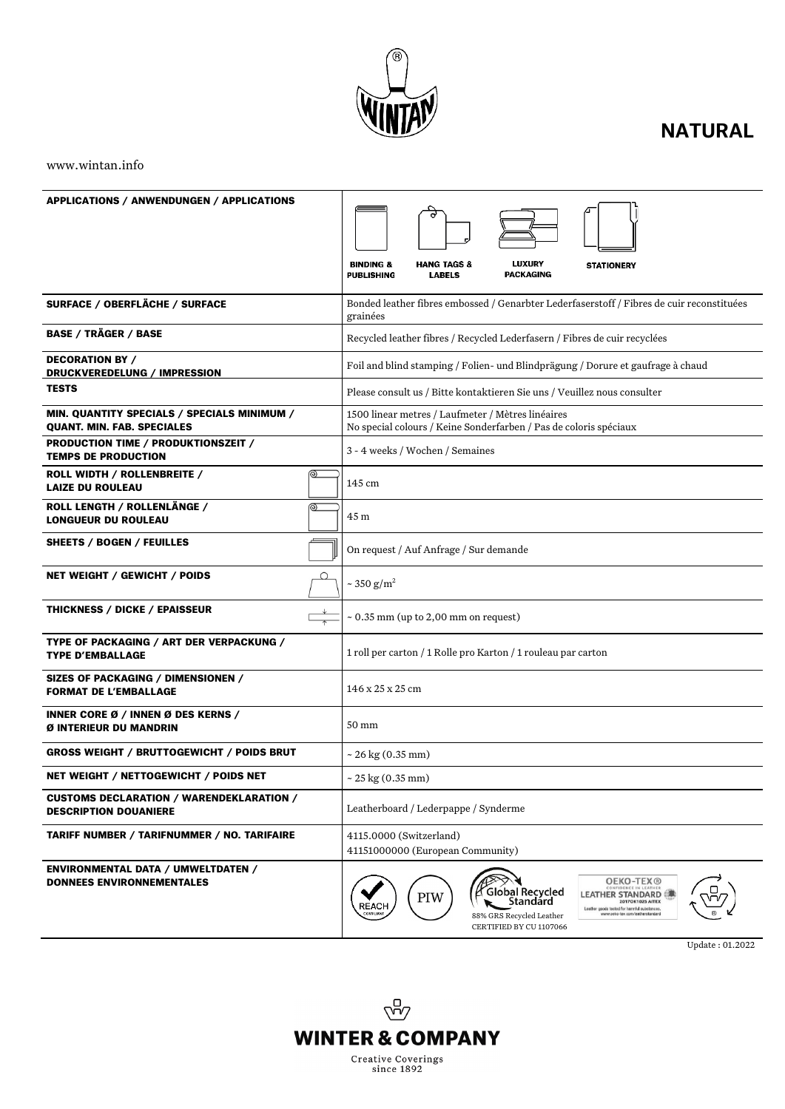

# **NATURAL**

www.wintan.info

| <b>APPLICATIONS / ANWENDUNGEN / APPLICATIONS</b>                                 | <b>LUXURY</b><br><b>BINDING &amp;</b><br><b>HANG TAGS &amp;</b><br><b>STATIONERY</b><br><b>PACKAGING</b><br>PUBLISHING<br><b>LABELS</b>                                                                                                                                                                  |
|----------------------------------------------------------------------------------|----------------------------------------------------------------------------------------------------------------------------------------------------------------------------------------------------------------------------------------------------------------------------------------------------------|
| SURFACE / OBERFLÄCHE / SURFACE                                                   | Bonded leather fibres embossed / Genarbter Lederfaserstoff / Fibres de cuir reconstituées<br>grainées                                                                                                                                                                                                    |
| <b>BASE / TRÄGER / BASE</b>                                                      | Recycled leather fibres / Recycled Lederfasern / Fibres de cuir recyclées                                                                                                                                                                                                                                |
| <b>DECORATION BY /</b><br>DRUCKVEREDELUNG / IMPRESSION                           | Foil and blind stamping / Folien- und Blindprägung / Dorure et gaufrage à chaud                                                                                                                                                                                                                          |
| <b>TESTS</b>                                                                     | Please consult us / Bitte kontaktieren Sie uns / Veuillez nous consulter                                                                                                                                                                                                                                 |
| MIN. QUANTITY SPECIALS / SPECIALS MINIMUM /<br><b>QUANT. MIN. FAB. SPECIALES</b> | 1500 linear metres / Laufmeter / Mètres linéaires<br>No special colours / Keine Sonderfarben / Pas de coloris spéciaux                                                                                                                                                                                   |
| PRODUCTION TIME / PRODUKTIONSZEIT /<br><b>TEMPS DE PRODUCTION</b>                | 3 - 4 weeks / Wochen / Semaines                                                                                                                                                                                                                                                                          |
| ROLL WIDTH / ROLLENBREITE /<br>⊚<br><b>LAIZE DU ROULEAU</b>                      | 145 cm                                                                                                                                                                                                                                                                                                   |
| ROLL LENGTH / ROLLENLÄNGE /<br>⊚<br><b>LONGUEUR DU ROULEAU</b>                   | 45 m                                                                                                                                                                                                                                                                                                     |
| SHEETS / BOGEN / FEUILLES                                                        | On request / Auf Anfrage / Sur demande                                                                                                                                                                                                                                                                   |
| NET WEIGHT / GEWICHT / POIDS<br>O                                                | ~ 350 $g/m^2$                                                                                                                                                                                                                                                                                            |
| <b>THICKNESS / DICKE / EPAISSEUR</b>                                             | $\sim 0.35$ mm (up to 2,00 mm on request)                                                                                                                                                                                                                                                                |
| TYPE OF PACKAGING / ART DER VERPACKUNG /<br><b>TYPE D'EMBALLAGE</b>              | 1 roll per carton / 1 Rolle pro Karton / 1 rouleau par carton                                                                                                                                                                                                                                            |
| SIZES OF PACKAGING / DIMENSIONEN /<br><b>FORMAT DE L'EMBALLAGE</b>               | 146 x 25 x 25 cm                                                                                                                                                                                                                                                                                         |
| INNER CORE Ø / INNEN Ø DES KERNS /<br>Ø INTERIEUR DU MANDRIN                     | 50 mm                                                                                                                                                                                                                                                                                                    |
| <b>GROSS WEIGHT / BRUTTOGEWICHT / POIDS BRUT</b>                                 | $\sim$ 26 kg (0.35 mm)                                                                                                                                                                                                                                                                                   |
| NET WEIGHT / NETTOGEWICHT / POIDS NET                                            | $\sim$ 25 kg (0.35 mm)                                                                                                                                                                                                                                                                                   |
| <b>CUSTOMS DECLARATION / WARENDEKLARATION /</b><br><b>DESCRIPTION DOUANIERE</b>  | Leatherboard / Lederpappe / Synderme                                                                                                                                                                                                                                                                     |
| <b>TARIFF NUMBER / TARIFNUMMER / NO. TARIFAIRE</b>                               | 4115.0000 (Switzerland)<br>41151000000 (European Community)                                                                                                                                                                                                                                              |
| <b>ENVIRONMENTAL DATA / UMWELTDATEN /</b><br><b>DONNEES ENVIRONNEMENTALES</b>    | <b>OEKO-TEX®</b><br>CONFIDENCE IN LEATHER<br>Global Recycled<br>LEATHER STANDARD (濃<br>PIW<br>Standárd<br><b>2017OK1025 AITEX</b><br><b>REACH</b><br>Leather goods tested for harmful substances.<br>COMPLIAN<br>www.oeko-tex.com/leatherstandard<br>88% GRS Recycled Leather<br>CERTIFIED BY CU 1107066 |

Update : 01.2022

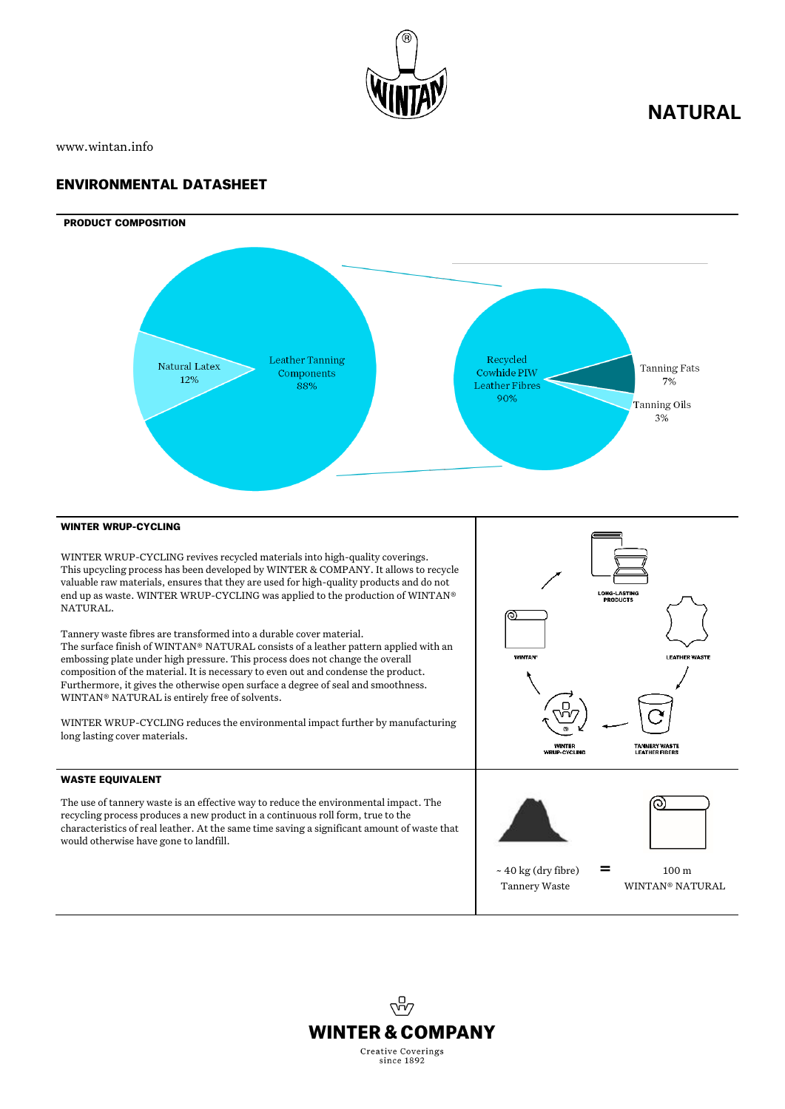

## **NATURAL**

www.wintan.info

## ENVIRONMENTAL DATASHEET





### WINTER WRUP-CYCLING

WINTER WRUP-CYCLING revives recycled materials into high-quality coverings. This upcycling process has been developed by WINTER & COMPANY. It allows to recycle valuable raw materials, ensures that they are used for high-quality products and do not end up as waste. WINTER WRUP-CYCLING was applied to the production of WINTAN® NATURAL.

Tannery waste fibres are transformed into a durable cover material. The surface finish of WINTAN® NATURAL consists of a leather pattern applied with an embossing plate under high pressure. This process does not change the overall composition of the material. It is necessary to even out and condense the product. Furthermore, it gives the otherwise open surface a degree of seal and smoothness. WINTAN® NATURAL is entirely free of solvents.

WINTER WRUP-CYCLING reduces the environmental impact further by manufacturing long lasting cover materials.

#### WASTE EQUIVALENT

The use of tannery waste is an effective way to reduce the environmental impact. The recycling process produces a new product in a continuous roll form, true to the characteristics of real leather. At the same time saving a significant amount of waste that would otherwise have gone to landfill.